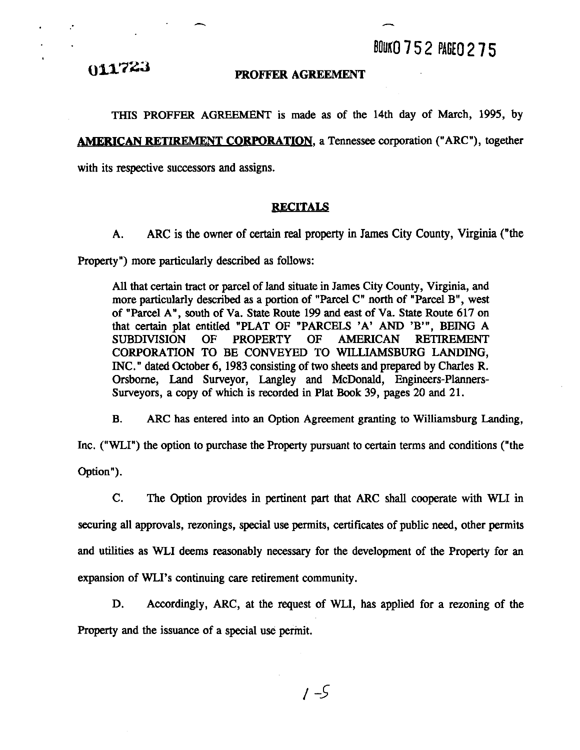011723

#### **PROFFER AGREEMENT**

THIS PROFFER AGREEMENT is made as of the 14th day of March, 1995, by **AMERICAN RETIREMENT CORPORATION, a Tennessee corporation ("ARC"), together** with its respective successors and assigns.

#### **RECITALS**

**A.** ARC is the owner of certain real property in James City County, Virginia ("the

Property") more particularly described as follows:

All that certain tract or parcel of land situate in James City County, Virginia, and more particularly described as a portion of "Parcel C" north of "Parcel B", west of "Parcel A", south of Va. State Route 199 and east of Va. State Route 617 on that certain plat entitled "PLAT OF "PARCELS 'A' AND 'B'", BEING A SUBDIVISION OF PROPERTY OF AMERICAN RETIREMENT CORPORATION TO BE CONVEYED TO WILLIAMSBURG LANDING, INC." dated October 6, 1983 consisting of two sheets and prepared by Charles R. Orsborne, Land Surveyor, Langley and McDonald, Engineers-Planners-Surveyors, a copy of which is recorded in Plat **Book** 39, pages 20 and 21.

B. ARC has entered into an Option Agreement granting to Williamsburg Landing,

Inc. ("WLI") the option to purchase the Property pursuant to certain terms and conditions ("the Option").

C. The Option provides in pertinent part that ARC shall cooperate with WLI in securing all approvals, rezonings, special use permits, certificates of public need, other permits and utilities as WLI deems reasonably necessary for the development of the Property for an expansion of WLI's continuing care retirement community.

**D.** Accordingly, ARC, at the request of WLI, has applied for a rezoning of the Property and the issuance of a special use permit.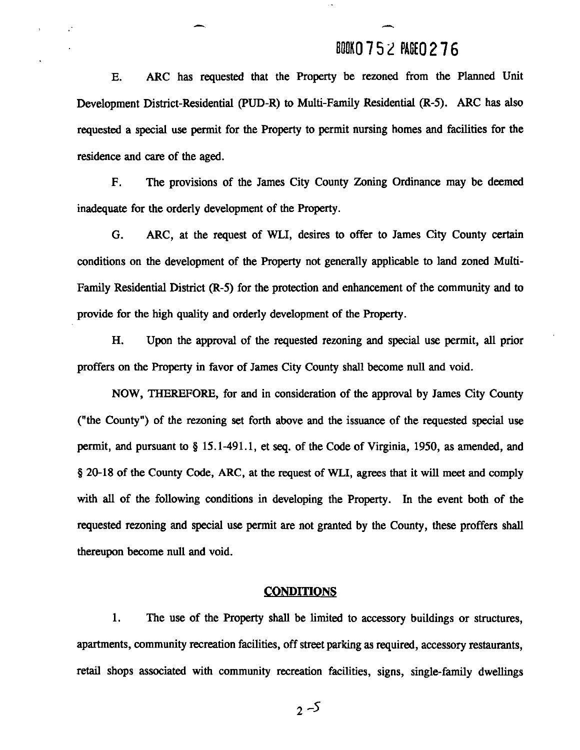### **BOOK0 7** 5 2 **PAGE0 2 7 6**

-

**E.** ARC has requested that the Property be rezoned from the Planned Unit Development District-Residential (PUD-R) to Multi-Family Residential (R-5). ARC has also requested a special use permit for the Property to permit nursing homes and facilities for the residence and care of the aged.

F. The provisions of the James City County Zoning Ordinance may be deemed inadequate for the orderly development of the Property.

**G.** ARC, at the request of WLI, desires to offer to James City County certain conditions on the development of the Property not generally applicable to land zoned Multi-Family Residential District **(R-5)** for the protection and enhancement of the community and to provide for the high quality and orderly development of the Property.

**H.** Upon the approval of the requested rezoning and special use permit, all prior proffers on the Property in favor of James City County shall become null and void.

NOW, THEREFORE, for and in consideration of the approval by James City County ("the County") of the rezoning set forth above and the issuance of the requested special use permit, and pursuant to **8** 15.1-491.1, et **seq.** of the Code of Virginia, 1950, **as** amended, and **8** 20-18 of the County Code, ARC, at the request of WLI, agrees that it will meet and comply with all of the following conditions in developing the Property. In the event both of the requested rezoning and special use permit are not granted by the County, these proffers shall thereupon become null and void.

#### **CONDITIONS**

1. The use of the Property shall be limited to accessory buildings or structures, apartments, community recreation facilities, off street parking **as** required, accessory restaurants, retail shops associated with community recreation facilities, signs, single-family dwellings

 $2 - 5$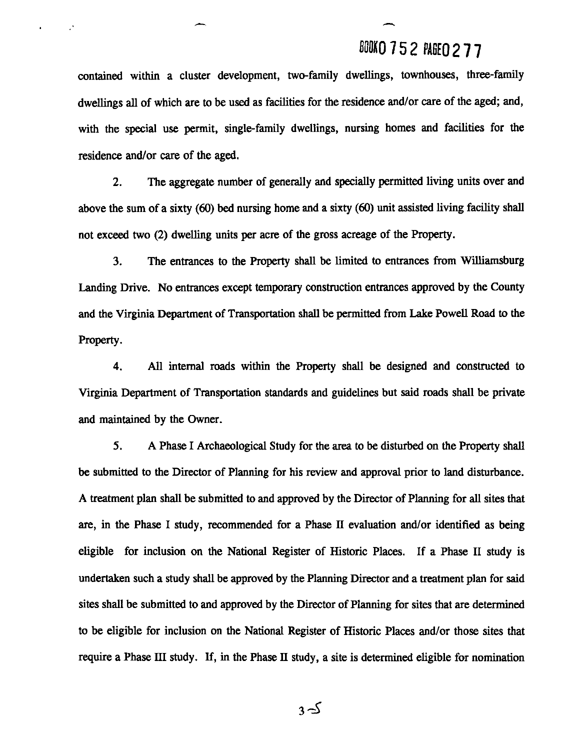### **BOOKO 752 PAGEN 277**

contained within a cluster development, two-family dwellings, townhouses, three-family dwellings all of which are to be used as facilities for the residence and/or care of the aged; and, with the special use permit, single-family dwellings, nursing homes and facilities for the residence and/or care of the aged.

**2.** The aggregate number of generally and specially permitted living units over and above the sum of a sixty (60) bed nursing home and a sixty (60) unit assisted living facility shall not exceed two (2) dwelling units per acre of the gross acreage of the Property.

**3.** The entrances to the Property shall be limited to entrances from Williamsburg Landing Drive. No entrances except temporary construction entrances approved by the County and the Virginia Department of Transportation shall be permitted from Lake Powell Road to the Property.

4. *All* internal roads within the Property shall be designed and constructed to Virginia Department of Transportation standards and guidelines but said roads shall be private and maintained by the Owner.

**5. A** Phase I Archaeological Study for the area to be disturbed on the Property shall be submitted to the Director of Planning for his review and approval prior to land disturbance. **A** treatment plan shall be submitted to and approved by the Director of Planning for all sites that **are,** in the Phase I study, recommended for a Phase **I1** evaluation and/or identified as being eligible for inclusion on the National Register of Historic Places. If a Phase **I1** study is undertaken such a study shall be approved by the Planning Director and a treatment plan for said sites shall be submitted to and approved by the Director of Planning for sites that **are** determined to be eligible for inclusion on the National Register of Historic Places and/or those sites that require a Phase **III** study. If, in the Phase **11** study, a site is determined eligible for nomination

 $3-5$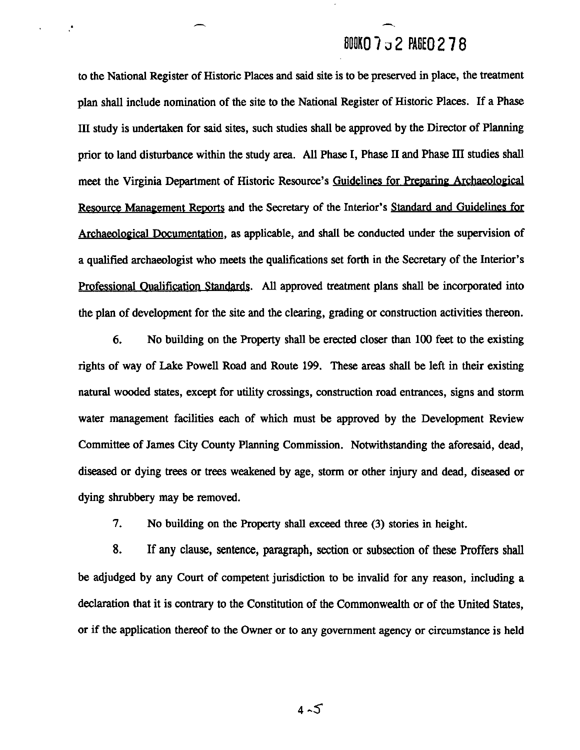# BOOKO 7 J 2 PAGEO 2 7 8

to the National Register of Historic Places and said site is to be presewed in place, the treatment plan shall include nomination of the site to the National Register of Historic Places. If a Phase **III** study is undertaken for said sites, such studies shall be approved by the Director of Planning prior to land disturbance within the study area. **AH** Phase I, Phase **II** and Phase **III** studies shall meet the Virginia Department of Historic Resource's Guidelines for Preparing Archaeological Resource Management Reports and the Secretary of the Interior's Standard and Guidelines for Archaeoloeical Documentation, as applicable, and shall be conducted under the supervision of a qualified archaeologist who meets the qualifications set forth in the Secretary of the Interior's Professional Oualification Standards. All approved treatment plans shall be incorporated into the plan of development for the site and the clearing, grading or construction activities thereon.

 $\mathbf{A}$ 

**6.** No building on the Property shall be erected closer than 100 feet to the existing rights of way of Lake Powell Road and Route 199. These areas shall be left in their existing natural wooded states, except for utility crossings, construction road entrances, signs and storm water management facilities each of which must be approved by the Development Review Committee of James City County Planning Commission. Notwithstanding the aforesaid, dead, diseased or dying trees or trees weakened by age, storm or other injury and dead, diseased or dying shrubbery may be removed.

**7.** No building on the Property shall exceed three (3) stories in height.

**8.** If any clause, sentence, paragraph, section or subsection of these Proffers shall be adjudged by any Court of competent jurisdiction to be invalid for any reason, including a declaration that it is contrary to the Constitution of the Commonwealth or of the United States, or if the application thereof to the Owner or to any government agency or circumstance is held

 $4 - 5$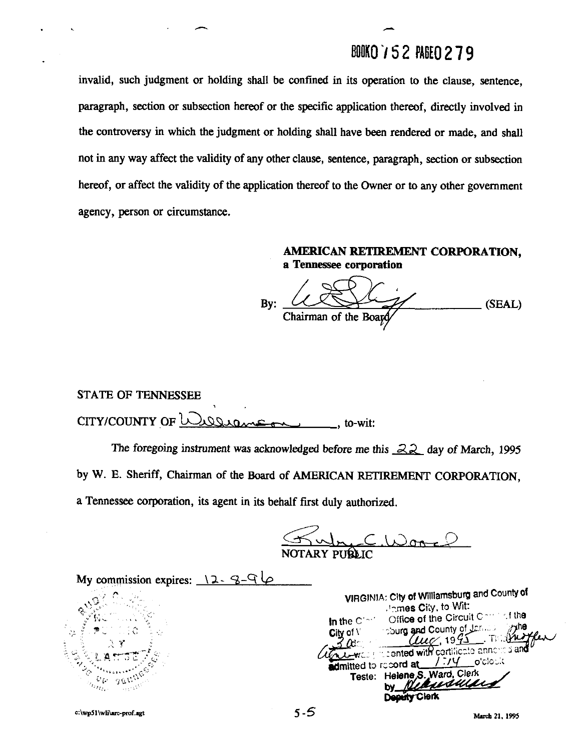## BOOKO 752 PAGEO 279

invalid, such judgment or holding shall be confined in its operation to the clause, sentence, paragraph, section or subsection hereof or the specific application thereof, directly involved in the controversy in which the judgment or holding shall have been rendered or made, and shall not in any way affect the validity of any other clause, sentence, paragraph, section or subsection hereof, or affect the validity of the application thereof to the Owner or to any other government agency, person or circumstance.

### **AMERICAN RETIREMENT CORPORATION, a Tennessee corporation**

By:  $(X \times Y)$  (SEAL) Chairman of the **Board** 

STATE OF TENNESSEE

CITY/COUNTY OF <u>UURRAGAAS ANDERSONES</u>, to-wit:<br>The foregoing instrument was acknowledged before me this *22* day of March, 1995 by W. E. Sheriff, Chairman of the Board of AMERICAN RETIREMENT CORPORATION, a Tennessee corporation, its agent in its behalf first duly authorized.

**k.** -C .UmT-3 NOTARY PU**BL**I

My commission expires:  $\sqrt{2} - 8 - 9$ **VIRGINIA:** City **ot Willlarnsburg and** County **of**  . Inmes City, to Wit: Office of the Circuit Commut the In the Cimi Sourg and County of January ∽dhe City of  $V$  $T$  (red 49 ل Lewis presented with cortificate annoyed and o'clock admitted to record at Teste: Helene, S., Ward, Clerk ausu Deputy Clerk

c:\wp51\wli\arc-prof.agt